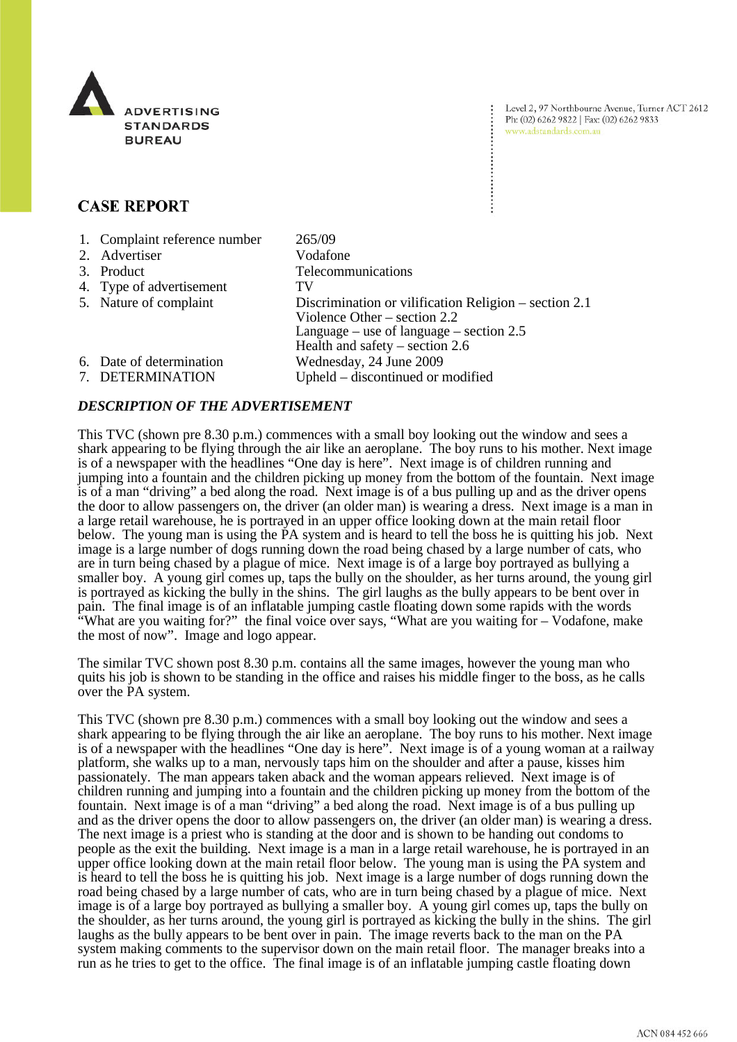

Level 2, 97 Northbourne Avenue, Turner ACT 2612 Ph: (02) 6262 9822 | Fax: (02) 6262 9833 www.adstandards.com.au

# **CASE REPORT**

| 1. Complaint reference number<br>2. Advertiser | 265/09<br>Vodafone                                                                                                                                                         |
|------------------------------------------------|----------------------------------------------------------------------------------------------------------------------------------------------------------------------------|
| 3. Product                                     | Telecommunications                                                                                                                                                         |
| 4. Type of advertisement                       | TV                                                                                                                                                                         |
| 5. Nature of complaint                         | Discrimination or vilification Religion – section 2.1<br>Violence Other $-$ section 2.2<br>Language – use of language – section $2.5$<br>Health and safety – section $2.6$ |
| 6. Date of determination<br>7. DETERMINATION   | Wednesday, 24 June 2009<br>Upheld – discontinued or modified                                                                                                               |

## *DESCRIPTION OF THE ADVERTISEMENT*

This TVC (shown pre 8.30 p.m.) commences with a small boy looking out the window and sees a shark appearing to be flying through the air like an aeroplane. The boy runs to his mother. Next image is of a newspaper with the headlines "One day is here". Next image is of children running and jumping into a fountain and the children picking up money from the bottom of the fountain. Next image is of a man "driving" a bed along the road. Next image is of a bus pulling up and as the driver opens the door to allow passengers on, the driver (an older man) is wearing a dress. Next image is a man in a large retail warehouse, he is portrayed in an upper office looking down at the main retail floor below. The young man is using the PA system and is heard to tell the boss he is quitting his job. Next image is a large number of dogs running down the road being chased by a large number of cats, who are in turn being chased by a plague of mice. Next image is of a large boy portrayed as bullying a smaller boy. A young girl comes up, taps the bully on the shoulder, as her turns around, the young girl is portrayed as kicking the bully in the shins. The girl laughs as the bully appears to be bent over in pain. The final image is of an inflatable jumping castle floating down some rapids with the words "What are you waiting for?" the final voice over says, "What are you waiting for – Vodafone, make the most of now". Image and logo appear.

The similar TVC shown post 8.30 p.m. contains all the same images, however the young man who quits his job is shown to be standing in the office and raises his middle finger to the boss, as he calls over the PA system.

This TVC (shown pre 8.30 p.m.) commences with a small boy looking out the window and sees a shark appearing to be flying through the air like an aeroplane. The boy runs to his mother. Next image is of a newspaper with the headlines "One day is here". Next image is of a young woman at a railway platform, she walks up to a man, nervously taps him on the shoulder and after a pause, kisses him passionately. The man appears taken aback and the woman appears relieved. Next image is of children running and jumping into a fountain and the children picking up money from the bottom of the fountain. Next image is of a man "driving" a bed along the road. Next image is of a bus pulling up and as the driver opens the door to allow passengers on, the driver (an older man) is wearing a dress. The next image is a priest who is standing at the door and is shown to be handing out condoms to people as the exit the building. Next image is a man in a large retail warehouse, he is portrayed in an upper office looking down at the main retail floor below. The young man is using the PA system and is heard to tell the boss he is quitting his job. Next image is a large number of dogs running down the road being chased by a large number of cats, who are in turn being chased by a plague of mice. Next image is of a large boy portrayed as bullying a smaller boy. A young girl comes up, taps the bully on the shoulder, as her turns around, the young girl is portrayed as kicking the bully in the shins. The girl laughs as the bully appears to be bent over in pain. The image reverts back to the man on the PA system making comments to the supervisor down on the main retail floor. The manager breaks into a run as he tries to get to the office. The final image is of an inflatable jumping castle floating down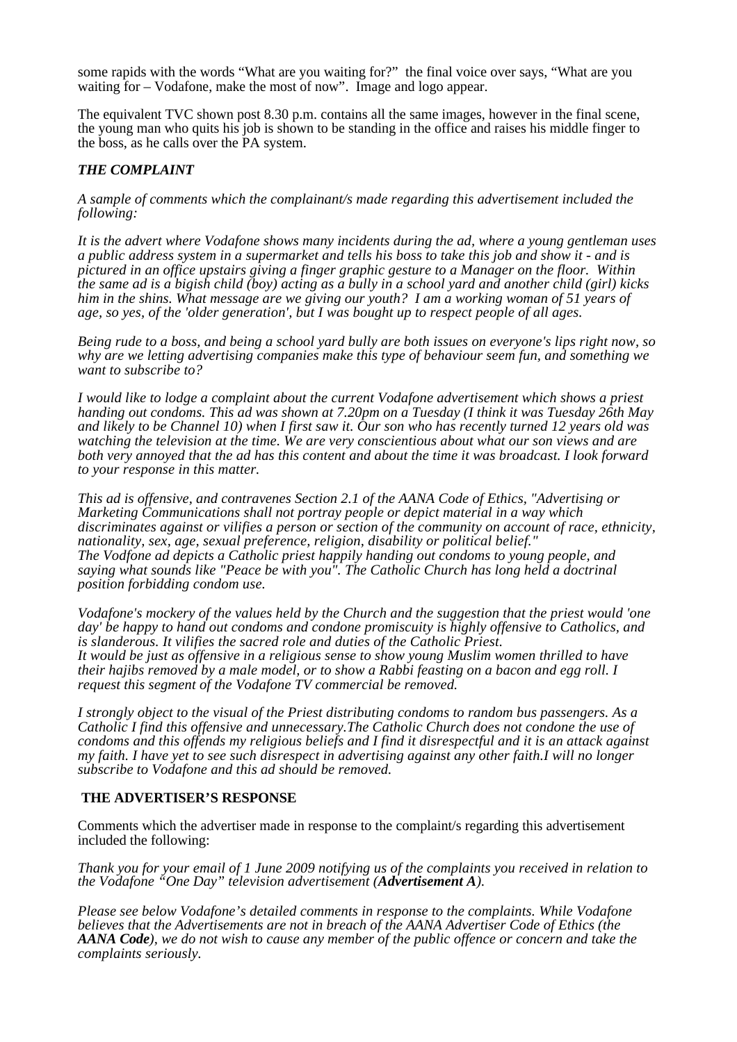some rapids with the words "What are you waiting for?" the final voice over says, "What are you waiting for – Vodafone, make the most of now". Image and logo appear.

The equivalent TVC shown post 8.30 p.m. contains all the same images, however in the final scene, the young man who quits his job is shown to be standing in the office and raises his middle finger to the boss, as he calls over the PA system.

## *THE COMPLAINT*

*A sample of comments which the complainant/s made regarding this advertisement included the following:*

*It is the advert where Vodafone shows many incidents during the ad, where a young gentleman uses a public address system in a supermarket and tells his boss to take this job and show it - and is pictured in an office upstairs giving a finger graphic gesture to a Manager on the floor. Within the same ad is a bigish child (boy) acting as a bully in a school yard and another child (girl) kicks him in the shins. What message are we giving our youth? I am a working woman of 51 years of age, so yes, of the 'older generation', but I was bought up to respect people of all ages.*

*Being rude to a boss, and being a school yard bully are both issues on everyone's lips right now, so why are we letting advertising companies make this type of behaviour seem fun, and something we want to subscribe to?*

*I would like to lodge a complaint about the current Vodafone advertisement which shows a priest handing out condoms. This ad was shown at 7.20pm on a Tuesday (I think it was Tuesday 26th May and likely to be Channel 10) when I first saw it. Our son who has recently turned 12 years old was watching the television at the time. We are very conscientious about what our son views and are both very annoyed that the ad has this content and about the time it was broadcast. I look forward to your response in this matter.* 

*This ad is offensive, and contravenes Section 2.1 of the AANA Code of Ethics, "Advertising or Marketing Communications shall not portray people or depict material in a way which discriminates against or vilifies a person or section of the community on account of race, ethnicity, nationality, sex, age, sexual preference, religion, disability or political belief." The Vodfone ad depicts a Catholic priest happily handing out condoms to young people, and saying what sounds like "Peace be with you". The Catholic Church has long held a doctrinal position forbidding condom use.* 

*Vodafone's mockery of the values held by the Church and the suggestion that the priest would 'one day' be happy to hand out condoms and condone promiscuity is highly offensive to Catholics, and is slanderous. It vilifies the sacred role and duties of the Catholic Priest. It would be just as offensive in a religious sense to show young Muslim women thrilled to have their hajibs removed by a male model, or to show a Rabbi feasting on a bacon and egg roll. I request this segment of the Vodafone TV commercial be removed.*

*I strongly object to the visual of the Priest distributing condoms to random bus passengers. As a Catholic I find this offensive and unnecessary.The Catholic Church does not condone the use of condoms and this offends my religious beliefs and I find it disrespectful and it is an attack against my faith. I have yet to see such disrespect in advertising against any other faith.I will no longer subscribe to Vodafone and this ad should be removed.*

#### **THE ADVERTISER'S RESPONSE**

Comments which the advertiser made in response to the complaint/s regarding this advertisement included the following:

*Thank you for your email of 1 June 2009 notifying us of the complaints you received in relation to the Vodafone "One Day" television advertisement (Advertisement A).*

*Please see below Vodafone's detailed comments in response to the complaints. While Vodafone believes that the Advertisements are not in breach of the AANA Advertiser Code of Ethics (the AANA Code), we do not wish to cause any member of the public offence or concern and take the complaints seriously.*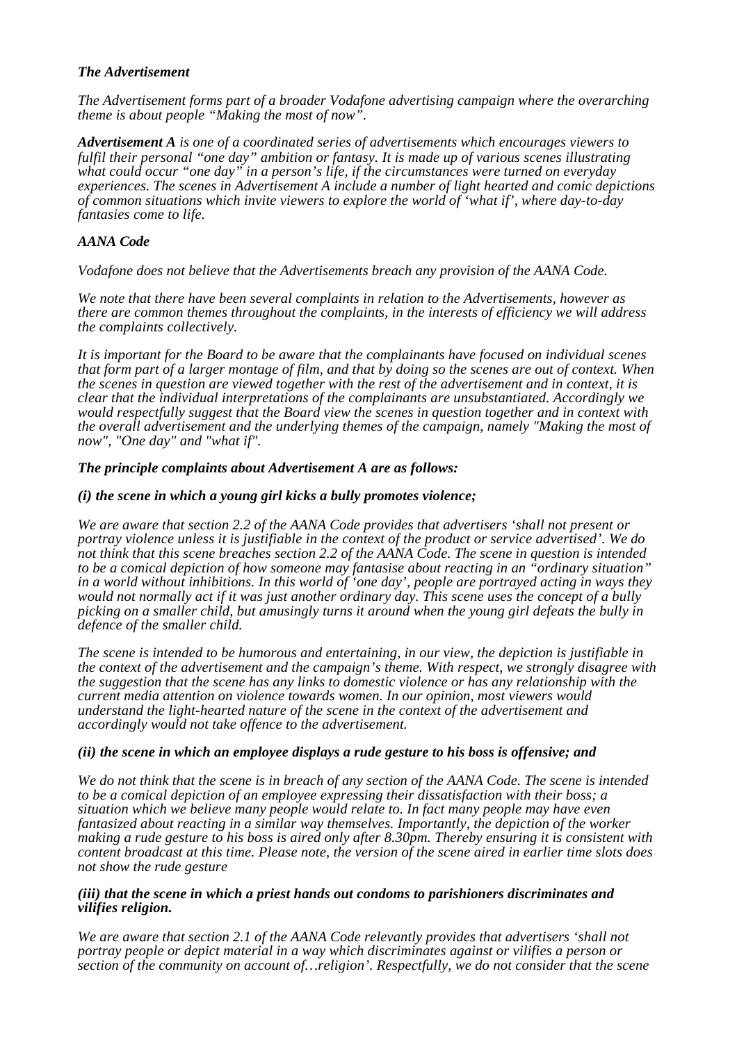## *The Advertisement*

*The Advertisement forms part of a broader Vodafone advertising campaign where the overarching theme is about people "Making the most of now".* 

*Advertisement A is one of a coordinated series of advertisements which encourages viewers to fulfil their personal "one day" ambition or fantasy. It is made up of various scenes illustrating what could occur "one day" in a person's life, if the circumstances were turned on everyday experiences. The scenes in Advertisement A include a number of light hearted and comic depictions of common situations which invite viewers to explore the world of 'what if', where day-to-day fantasies come to life.* 

## *AANA Code*

*Vodafone does not believe that the Advertisements breach any provision of the AANA Code.* 

*We note that there have been several complaints in relation to the Advertisements, however as there are common themes throughout the complaints, in the interests of efficiency we will address the complaints collectively.* 

*It is important for the Board to be aware that the complainants have focused on individual scenes that form part of a larger montage of film, and that by doing so the scenes are out of context. When the scenes in question are viewed together with the rest of the advertisement and in context, it is clear that the individual interpretations of the complainants are unsubstantiated. Accordingly we would respectfully suggest that the Board view the scenes in question together and in context with the overall advertisement and the underlying themes of the campaign, namely "Making the most of now", "One day" and "what if".* 

## *The principle complaints about Advertisement A are as follows:*

#### *(i) the scene in which a young girl kicks a bully promotes violence;*

*We are aware that section 2.2 of the AANA Code provides that advertisers 'shall not present or portray violence unless it is justifiable in the context of the product or service advertised'. We do not think that this scene breaches section 2.2 of the AANA Code. The scene in question is intended to be a comical depiction of how someone may fantasise about reacting in an "ordinary situation" in a world without inhibitions. In this world of 'one day', people are portrayed acting in ways they would not normally act if it was just another ordinary day. This scene uses the concept of a bully picking on a smaller child, but amusingly turns it around when the young girl defeats the bully in defence of the smaller child.* 

*The scene is intended to be humorous and entertaining, in our view, the depiction is justifiable in the context of the advertisement and the campaign's theme. With respect, we strongly disagree with the suggestion that the scene has any links to domestic violence or has any relationship with the current media attention on violence towards women. In our opinion, most viewers would understand the light-hearted nature of the scene in the context of the advertisement and accordingly would not take offence to the advertisement.* 

#### *(ii) the scene in which an employee displays a rude gesture to his boss is offensive; and*

*We do not think that the scene is in breach of any section of the AANA Code. The scene is intended to be a comical depiction of an employee expressing their dissatisfaction with their boss; a situation which we believe many people would relate to. In fact many people may have even fantasized about reacting in a similar way themselves. Importantly, the depiction of the worker making a rude gesture to his boss is aired only after 8.30pm. Thereby ensuring it is consistent with content broadcast at this time. Please note, the version of the scene aired in earlier time slots does not show the rude gesture* 

#### *(iii) that the scene in which a priest hands out condoms to parishioners discriminates and vilifies religion.*

*We are aware that section 2.1 of the AANA Code relevantly provides that advertisers 'shall not portray people or depict material in a way which discriminates against or vilifies a person or section of the community on account of…religion'. Respectfully, we do not consider that the scene*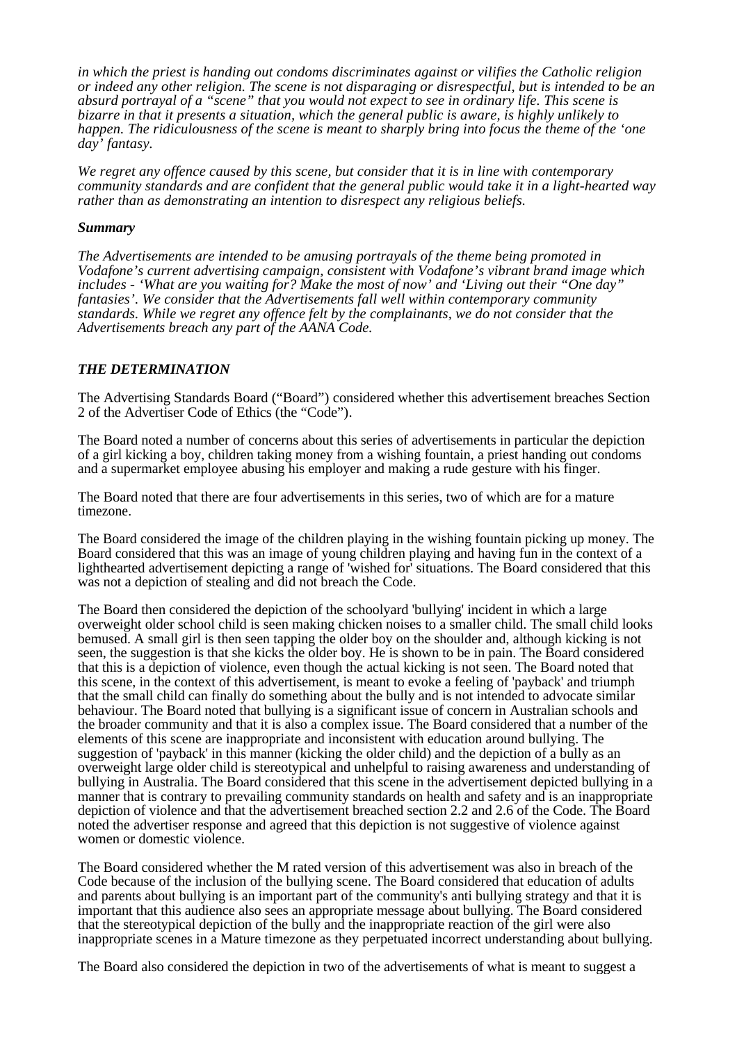*in which the priest is handing out condoms discriminates against or vilifies the Catholic religion or indeed any other religion. The scene is not disparaging or disrespectful, but is intended to be an absurd portrayal of a "scene" that you would not expect to see in ordinary life. This scene is bizarre in that it presents a situation, which the general public is aware, is highly unlikely to happen. The ridiculousness of the scene is meant to sharply bring into focus the theme of the 'one day' fantasy.* 

*We regret any offence caused by this scene, but consider that it is in line with contemporary community standards and are confident that the general public would take it in a light-hearted way rather than as demonstrating an intention to disrespect any religious beliefs.* 

#### *Summary*

*The Advertisements are intended to be amusing portrayals of the theme being promoted in Vodafone's current advertising campaign, consistent with Vodafone's vibrant brand image which includes - 'What are you waiting for? Make the most of now' and 'Living out their "One day" fantasies'. We consider that the Advertisements fall well within contemporary community standards. While we regret any offence felt by the complainants, we do not consider that the Advertisements breach any part of the AANA Code.* 

#### *THE DETERMINATION*

The Advertising Standards Board ("Board") considered whether this advertisement breaches Section 2 of the Advertiser Code of Ethics (the "Code").

The Board noted a number of concerns about this series of advertisements in particular the depiction of a girl kicking a boy, children taking money from a wishing fountain, a priest handing out condoms and a supermarket employee abusing his employer and making a rude gesture with his finger.

The Board noted that there are four advertisements in this series, two of which are for a mature timezone.

The Board considered the image of the children playing in the wishing fountain picking up money. The Board considered that this was an image of young children playing and having fun in the context of a lighthearted advertisement depicting a range of 'wished for' situations. The Board considered that this was not a depiction of stealing and did not breach the Code.

The Board then considered the depiction of the schoolyard 'bullying' incident in which a large overweight older school child is seen making chicken noises to a smaller child. The small child looks bemused. A small girl is then seen tapping the older boy on the shoulder and, although kicking is not seen, the suggestion is that she kicks the older boy. He is shown to be in pain. The Board considered that this is a depiction of violence, even though the actual kicking is not seen. The Board noted that this scene, in the context of this advertisement, is meant to evoke a feeling of 'payback' and triumph that the small child can finally do something about the bully and is not intended to advocate similar behaviour. The Board noted that bullying is a significant issue of concern in Australian schools and the broader community and that it is also a complex issue. The Board considered that a number of the elements of this scene are inappropriate and inconsistent with education around bullying. The suggestion of 'payback' in this manner (kicking the older child) and the depiction of a bully as an overweight large older child is stereotypical and unhelpful to raising awareness and understanding of bullying in Australia. The Board considered that this scene in the advertisement depicted bullying in a manner that is contrary to prevailing community standards on health and safety and is an inappropriate depiction of violence and that the advertisement breached section 2.2 and 2.6 of the Code. The Board noted the advertiser response and agreed that this depiction is not suggestive of violence against women or domestic violence.

The Board considered whether the M rated version of this advertisement was also in breach of the Code because of the inclusion of the bullying scene. The Board considered that education of adults and parents about bullying is an important part of the community's anti bullying strategy and that it is important that this audience also sees an appropriate message about bullying. The Board considered that the stereotypical depiction of the bully and the inappropriate reaction of the girl were also inappropriate scenes in a Mature timezone as they perpetuated incorrect understanding about bullying.

The Board also considered the depiction in two of the advertisements of what is meant to suggest a